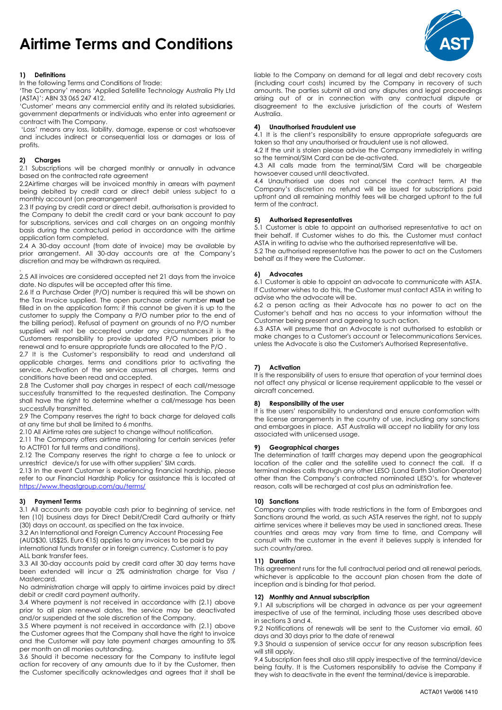# Airtime Terms and Conditions ŗ



In the following Terms and Conditions of Trade:

'The Company' means 'Applied Satellite Technology Australia Pty Ltd (ASTA)'; ABN 33 065 247 412.

'Customer' means any commercial entity and its related subsidiaries, government departments or individuals who enter into agreement or contract with The Company.

 'Loss' means any loss, liability, damage, expense or cost whatsoever and includes indirect or consequential loss or damages or loss of profits.

# 2) Charges

.

2.1 Subscriptions will be charged monthly or annually in advance based on the contracted rate agreement

2.2Airtime charges will be invoiced monthly in arrears with payment being debited by credit card or direct debit unless subject to a monthly account (on prearrangement

2.3 If paying by credit card or direct debit, authorisation is provided to the Company to debit the credit card or your bank account to pay for subscriptions, services and call charges on an ongoing monthly basis during the contractual period in accordance with the airtime application form completed.

2.4 A 30-day account (from date of invoice) may be available by prior arrangement. All 30-day accounts are at the Company's discretion and may be withdrawn as required.

2.5 All invoices are considered accepted net 21 days from the invoice date. No disputes will be accepted after this time.

2.6 If a Purchase Order (P/O) number is required this will be shown on the Tax Invoice supplied. The open purchase order number must be filled in on the application form; if this cannot be given it is up to the customer to supply the Company a P/O number prior to the end of the billing period). Refusal of payment on grounds of no P/O number supplied will not be accepted under any circumstances.it is the Customers responsibility to provide updated P/O numbers prior to renewal and to ensure appropriate funds are allocated to the P/O .

2.7 It is the Customer's responsibility to read and understand all applicable charges, terms and conditions prior to activating the service. Activation of the service assumes all charges, terms and conditions have been read and accepted.

2.8 The Customer shall pay charges in respect of each call/message successfully transmitted to the requested destination. The Company shall have the right to determine whether a call/message has been successfully transmitted.

2.9 The Company reserves the right to back charge for delayed calls at any time but shall be limited to 6 months.

2.10 All Airtime rates are subject to change without notification.

2.11 The Company offers airtime monitoring for certain services (refer to ACTF01 for full terms and conditions).

2.12 The Company reserves the right to charge a fee to unlock or unrestrict device/s for use with other suppliers' SIM cards.

2.13 In the event Customer is experiencing financial hardship, please refer to our Financial Hardship Policy for assistance this is located at https://www.theastgroup.com/au/terms/

# 3) Payment Terms

3.1 All accounts are payable cash prior to beginning of service, net ten (10) business days for Direct Debit/Credit Card authority or thirty (30) days on account, as specified on the tax invoice.

3.2 An International and Foreign Currency Account Processing Fee (AUD\$30, US\$25, Euro €15) applies to any invoices to be paid by international funds transfer or in foreign currency. Customer is to pay ALL bank transfer fees.

3.3 All 30-day accounts paid by credit card after 30 day terms have been extended will incur a 2% administration charge for Visa / Mastercard.

No administration charge will apply to airtime invoices paid by direct debit or credit card payment authority.

3.4 Where payment is not received in accordance with (2.1) above prior to all plan renewal dates, the service may be deactivated and/or suspended at the sole discretion of the Company.

3.5 Where payment is not received in accordance with (2.1) above the Customer agrees that the Company shall have the right to invoice and the Customer will pay late payment charges amounting to 5% per month on all monies outstanding.

3.6 Should it become necessary for the Company to institute legal action for recovery of any amounts due to it by the Customer, then the Customer specifically acknowledges and agrees that it shall be

liable to the Company on demand for all legal and debt recovery costs (including court costs) incurred by the Company in recovery of such amounts. The parties submit all and any disputes and legal proceedings arising out of or in connection with any contractual dispute or disagreement to the exclusive jurisdiction of the courts of Western Australia.

## 4) Unauthorised Fraudulent use

4.1 It is the client's responsibility to ensure appropriate safeguards are taken so that any unauthorised or fraudulent use is not allowed.

4.2 If the unit is stolen please advise the Company immediately in writing so the terminal/SIM Card can be de-activated.

4.3 All calls made from the terminal/SIM Card will be chargeable howsoever caused until deactivated.

4.4 Unauthorised use does not cancel the contract term. At the Company's discretion no refund will be issued for subscriptions paid upfront and all remaining monthly fees will be charged upfront to the full term of the contract.

# 5) Authorised Representatives

5.1 Customer is able to appoint an authorised representative to act on their behalf. If Customer wishes to do this, the Customer must contact ASTA in writing to advise who the authorised representative will be.

5.2 The authorised representative has the power to act on the Customers behalf as if they were the Customer.

# 6) Advocates

6.1 Customer is able to appoint an advocate to communicate with ASTA. If Customer wishes to do this, the Customer must contact ASTA in writing to advise who the advocate will be.

6.2 a person acting as their Advocate has no power to act on the Customer's behalf and has no access to your information without the Customer being present and agreeing to such action.

6.3 ASTA will presume that an Advocate is not authorised to establish or make changes to a Customer's account or Telecommunications Services, unless the Advocate is also the Customer's Authorised Representative.

# 7) Activation

It is the responsibility of users to ensure that operation of your terminal does not affect any physical or license requirement applicable to the vessel or aircraft concerned.

# 8) Responsibility of the user

It is the users' responsibility to understand and ensure conformation with the license arrangements in the country of use, including any sanctions and embargoes in place. AST Australia will accept no liability for any loss associated with unlicensed usage.

# 9) Geographical charges

The determination of tariff charges may depend upon the geographical location of the caller and the satellite used to connect the call. If a terminal makes calls through any other LESO (Land Earth Station Operator) other than the Company's contracted nominated LESO's, for whatever reason, calls will be recharged at cost plus an administration fee.

# 10) Sanctions

Company complies with trade restrictions in the form of Embargoes and Sanctions around the world, as such ASTA reserves the right, not to supply airtime services where it believes may be used in sanctioned areas. These countries and areas may vary from time to time, and Company will consult with the customer in the event it believes supply is intended for such country/area.

## 11) Duration

This agreement runs for the full contractual period and all renewal periods, whichever is applicable to the account plan chosen from the date of inception and is binding for that period.

### 12) Monthly and Annual subscription

9.1 All subscriptions will be charged in advance as per your agreement irrespective of use of the terminal, including those uses described above in sections 3 and 4.

9.2 Notifications of renewals will be sent to the Customer via email, 60 days and 30 days prior to the date of renewal

9.3 Should a suspension of service occur for any reason subscription fees will still apply.

9.4 Subscription fees shall also still apply irrespective of the terminal/device being faulty. It is the Customers responsibility to advise the Company if they wish to deactivate in the event the terminal/device is irreparable.